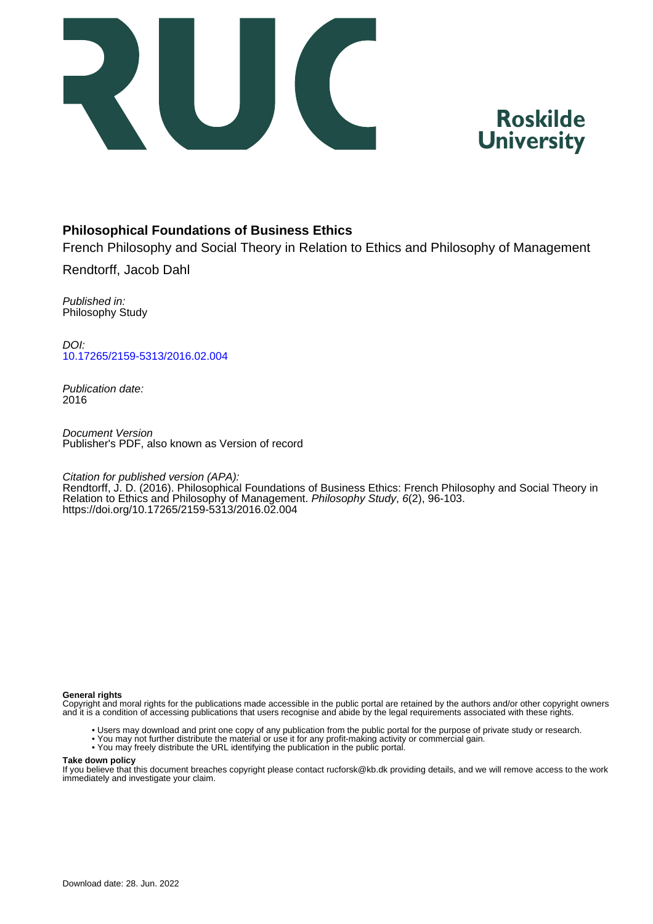



## **Philosophical Foundations of Business Ethics**

French Philosophy and Social Theory in Relation to Ethics and Philosophy of Management Rendtorff, Jacob Dahl

Published in: Philosophy Study

DOI: [10.17265/2159-5313/2016.02.004](https://doi.org/10.17265/2159-5313/2016.02.004)

Publication date: 2016

Document Version Publisher's PDF, also known as Version of record

Citation for published version (APA):

Rendtorff, J. D. (2016). Philosophical Foundations of Business Ethics: French Philosophy and Social Theory in Relation to Ethics and Philosophy of Management. Philosophy Study, 6(2), 96-103. <https://doi.org/10.17265/2159-5313/2016.02.004>

#### **General rights**

Copyright and moral rights for the publications made accessible in the public portal are retained by the authors and/or other copyright owners and it is a condition of accessing publications that users recognise and abide by the legal requirements associated with these rights.

- Users may download and print one copy of any publication from the public portal for the purpose of private study or research.
- You may not further distribute the material or use it for any profit-making activity or commercial gain.
- You may freely distribute the URL identifying the publication in the public portal.

#### **Take down policy**

If you believe that this document breaches copyright please contact rucforsk@kb.dk providing details, and we will remove access to the work immediately and investigate your claim.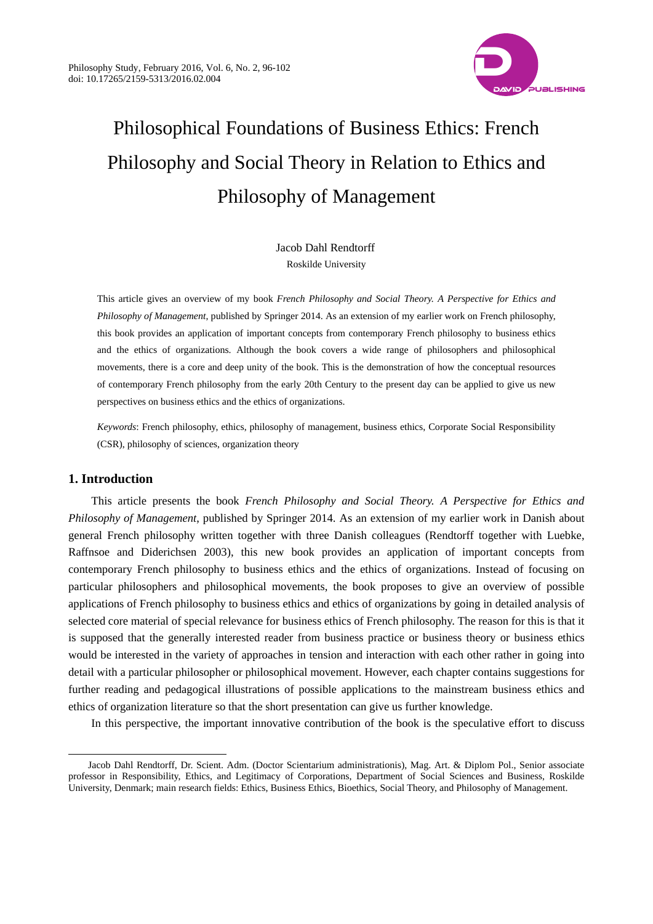

# Philosophical Foundations of Business Ethics: French Philosophy and Social Theory in Relation to Ethics and Philosophy of Management

Jacob Dahl Rendtorff Roskilde University

This article gives an overview of my book *French Philosophy and Social Theory. A Perspective for Ethics and Philosophy of Management*, published by Springer 2014. As an extension of my earlier work on French philosophy, this book provides an application of important concepts from contemporary French philosophy to business ethics and the ethics of organizations. Although the book covers a wide range of philosophers and philosophical movements, there is a core and deep unity of the book. This is the demonstration of how the conceptual resources of contemporary French philosophy from the early 20th Century to the present day can be applied to give us new perspectives on business ethics and the ethics of organizations.

*Keywords*: French philosophy, ethics, philosophy of management, business ethics, Corporate Social Responsibility (CSR), philosophy of sciences, organization theory

## **1. Introduction**

 $\overline{a}$ 

This article presents the book *French Philosophy and Social Theory. A Perspective for Ethics and Philosophy of Management*, published by Springer 2014. As an extension of my earlier work in Danish about general French philosophy written together with three Danish colleagues (Rendtorff together with Luebke, Raffnsoe and Diderichsen 2003), this new book provides an application of important concepts from contemporary French philosophy to business ethics and the ethics of organizations. Instead of focusing on particular philosophers and philosophical movements, the book proposes to give an overview of possible applications of French philosophy to business ethics and ethics of organizations by going in detailed analysis of selected core material of special relevance for business ethics of French philosophy. The reason for this is that it is supposed that the generally interested reader from business practice or business theory or business ethics would be interested in the variety of approaches in tension and interaction with each other rather in going into detail with a particular philosopher or philosophical movement. However, each chapter contains suggestions for further reading and pedagogical illustrations of possible applications to the mainstream business ethics and ethics of organization literature so that the short presentation can give us further knowledge.

In this perspective, the important innovative contribution of the book is the speculative effort to discuss

Jacob Dahl Rendtorff, Dr. Scient. Adm. (Doctor Scientarium administrationis), Mag. Art. & Diplom Pol., Senior associate professor in Responsibility, Ethics, and Legitimacy of Corporations, Department of Social Sciences and Business, Roskilde University, Denmark; main research fields: Ethics, Business Ethics, Bioethics, Social Theory, and Philosophy of Management.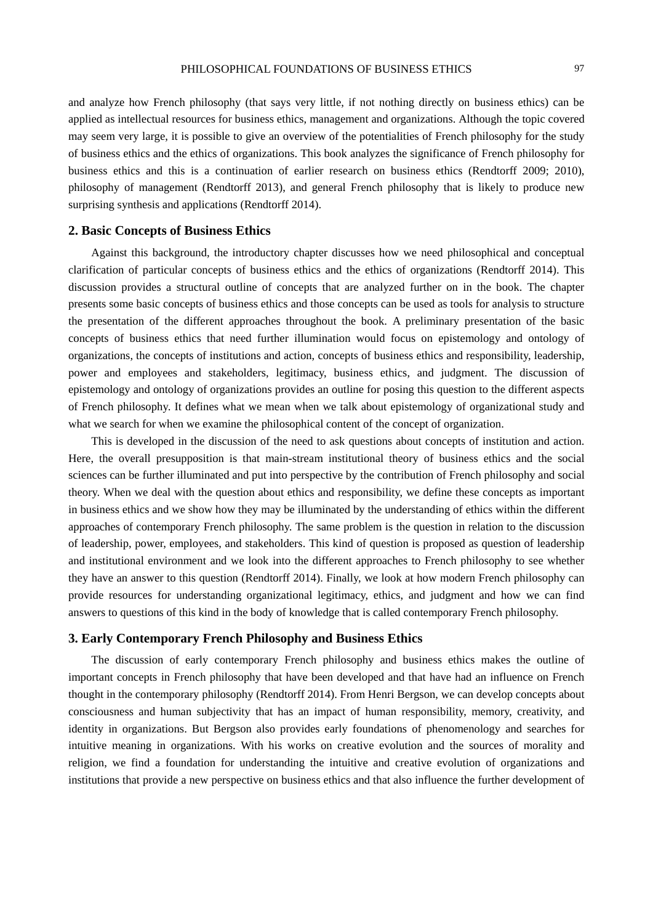and analyze how French philosophy (that says very little, if not nothing directly on business ethics) can be applied as intellectual resources for business ethics, management and organizations. Although the topic covered may seem very large, it is possible to give an overview of the potentialities of French philosophy for the study of business ethics and the ethics of organizations. This book analyzes the significance of French philosophy for business ethics and this is a continuation of earlier research on business ethics (Rendtorff 2009; 2010), philosophy of management (Rendtorff 2013), and general French philosophy that is likely to produce new surprising synthesis and applications (Rendtorff 2014).

#### **2. Basic Concepts of Business Ethics**

Against this background, the introductory chapter discusses how we need philosophical and conceptual clarification of particular concepts of business ethics and the ethics of organizations (Rendtorff 2014). This discussion provides a structural outline of concepts that are analyzed further on in the book. The chapter presents some basic concepts of business ethics and those concepts can be used as tools for analysis to structure the presentation of the different approaches throughout the book. A preliminary presentation of the basic concepts of business ethics that need further illumination would focus on epistemology and ontology of organizations, the concepts of institutions and action, concepts of business ethics and responsibility, leadership, power and employees and stakeholders, legitimacy, business ethics, and judgment. The discussion of epistemology and ontology of organizations provides an outline for posing this question to the different aspects of French philosophy. It defines what we mean when we talk about epistemology of organizational study and what we search for when we examine the philosophical content of the concept of organization.

This is developed in the discussion of the need to ask questions about concepts of institution and action. Here, the overall presupposition is that main-stream institutional theory of business ethics and the social sciences can be further illuminated and put into perspective by the contribution of French philosophy and social theory. When we deal with the question about ethics and responsibility, we define these concepts as important in business ethics and we show how they may be illuminated by the understanding of ethics within the different approaches of contemporary French philosophy. The same problem is the question in relation to the discussion of leadership, power, employees, and stakeholders. This kind of question is proposed as question of leadership and institutional environment and we look into the different approaches to French philosophy to see whether they have an answer to this question (Rendtorff 2014). Finally, we look at how modern French philosophy can provide resources for understanding organizational legitimacy, ethics, and judgment and how we can find answers to questions of this kind in the body of knowledge that is called contemporary French philosophy.

#### **3. Early Contemporary French Philosophy and Business Ethics**

The discussion of early contemporary French philosophy and business ethics makes the outline of important concepts in French philosophy that have been developed and that have had an influence on French thought in the contemporary philosophy (Rendtorff 2014). From Henri Bergson, we can develop concepts about consciousness and human subjectivity that has an impact of human responsibility, memory, creativity, and identity in organizations. But Bergson also provides early foundations of phenomenology and searches for intuitive meaning in organizations. With his works on creative evolution and the sources of morality and religion, we find a foundation for understanding the intuitive and creative evolution of organizations and institutions that provide a new perspective on business ethics and that also influence the further development of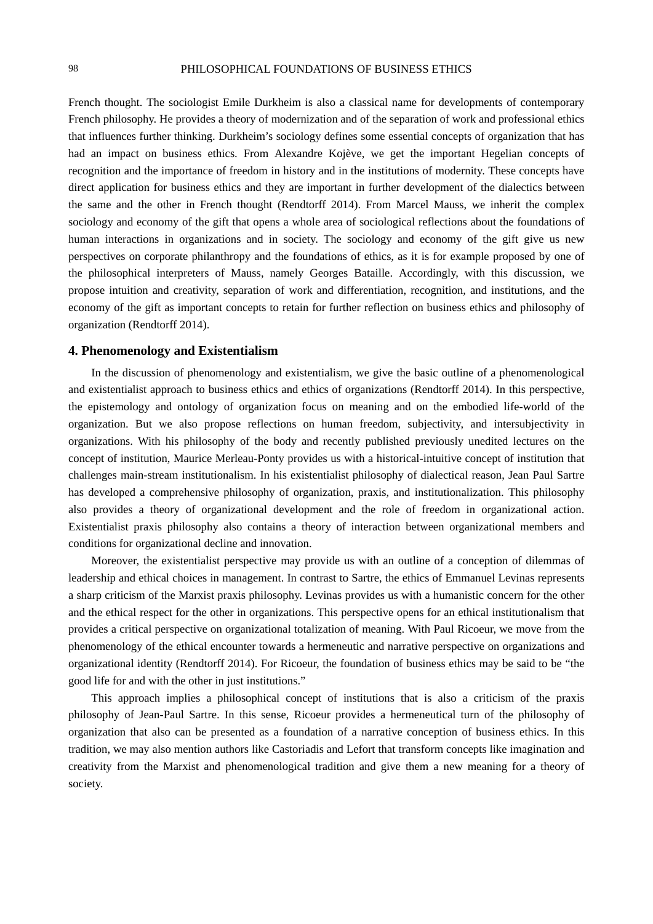French thought. The sociologist Emile Durkheim is also a classical name for developments of contemporary French philosophy. He provides a theory of modernization and of the separation of work and professional ethics that influences further thinking. Durkheim's sociology defines some essential concepts of organization that has had an impact on business ethics. From Alexandre Kojève, we get the important Hegelian concepts of recognition and the importance of freedom in history and in the institutions of modernity. These concepts have direct application for business ethics and they are important in further development of the dialectics between the same and the other in French thought (Rendtorff 2014). From Marcel Mauss, we inherit the complex sociology and economy of the gift that opens a whole area of sociological reflections about the foundations of human interactions in organizations and in society. The sociology and economy of the gift give us new perspectives on corporate philanthropy and the foundations of ethics, as it is for example proposed by one of the philosophical interpreters of Mauss, namely Georges Bataille. Accordingly, with this discussion, we propose intuition and creativity, separation of work and differentiation, recognition, and institutions, and the economy of the gift as important concepts to retain for further reflection on business ethics and philosophy of organization (Rendtorff 2014).

#### **4. Phenomenology and Existentialism**

In the discussion of phenomenology and existentialism, we give the basic outline of a phenomenological and existentialist approach to business ethics and ethics of organizations (Rendtorff 2014). In this perspective, the epistemology and ontology of organization focus on meaning and on the embodied life-world of the organization. But we also propose reflections on human freedom, subjectivity, and intersubjectivity in organizations. With his philosophy of the body and recently published previously unedited lectures on the concept of institution, Maurice Merleau-Ponty provides us with a historical-intuitive concept of institution that challenges main-stream institutionalism. In his existentialist philosophy of dialectical reason, Jean Paul Sartre has developed a comprehensive philosophy of organization, praxis, and institutionalization. This philosophy also provides a theory of organizational development and the role of freedom in organizational action. Existentialist praxis philosophy also contains a theory of interaction between organizational members and conditions for organizational decline and innovation.

Moreover, the existentialist perspective may provide us with an outline of a conception of dilemmas of leadership and ethical choices in management. In contrast to Sartre, the ethics of Emmanuel Levinas represents a sharp criticism of the Marxist praxis philosophy. Levinas provides us with a humanistic concern for the other and the ethical respect for the other in organizations. This perspective opens for an ethical institutionalism that provides a critical perspective on organizational totalization of meaning. With Paul Ricoeur, we move from the phenomenology of the ethical encounter towards a hermeneutic and narrative perspective on organizations and organizational identity (Rendtorff 2014). For Ricoeur, the foundation of business ethics may be said to be "the good life for and with the other in just institutions."

This approach implies a philosophical concept of institutions that is also a criticism of the praxis philosophy of Jean-Paul Sartre. In this sense, Ricoeur provides a hermeneutical turn of the philosophy of organization that also can be presented as a foundation of a narrative conception of business ethics. In this tradition, we may also mention authors like Castoriadis and Lefort that transform concepts like imagination and creativity from the Marxist and phenomenological tradition and give them a new meaning for a theory of society.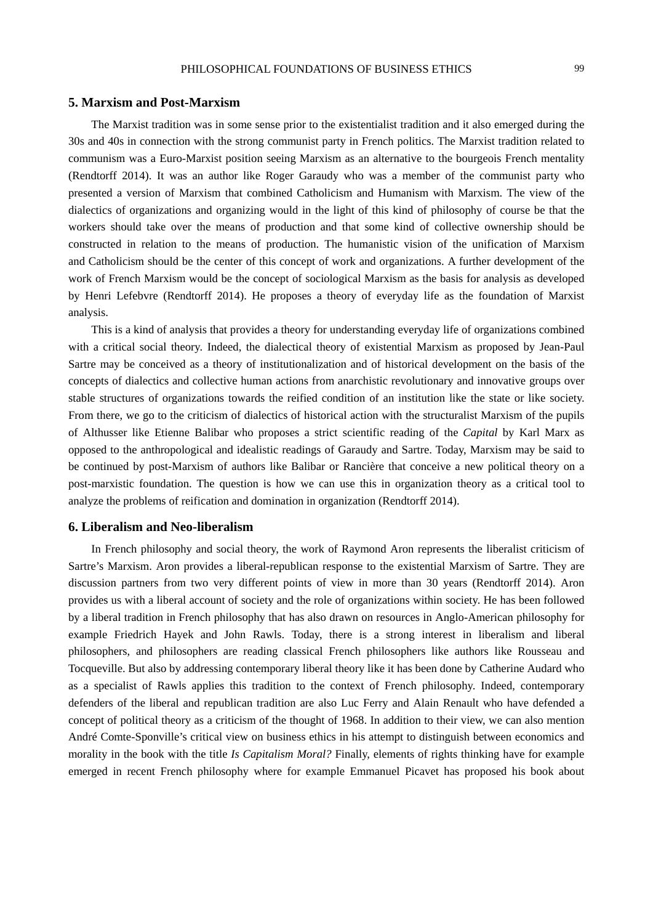#### **5. Marxism and Post-Marxism**

The Marxist tradition was in some sense prior to the existentialist tradition and it also emerged during the 30s and 40s in connection with the strong communist party in French politics. The Marxist tradition related to communism was a Euro-Marxist position seeing Marxism as an alternative to the bourgeois French mentality (Rendtorff 2014). It was an author like Roger Garaudy who was a member of the communist party who presented a version of Marxism that combined Catholicism and Humanism with Marxism. The view of the dialectics of organizations and organizing would in the light of this kind of philosophy of course be that the workers should take over the means of production and that some kind of collective ownership should be constructed in relation to the means of production. The humanistic vision of the unification of Marxism and Catholicism should be the center of this concept of work and organizations. A further development of the work of French Marxism would be the concept of sociological Marxism as the basis for analysis as developed by Henri Lefebvre (Rendtorff 2014). He proposes a theory of everyday life as the foundation of Marxist analysis.

This is a kind of analysis that provides a theory for understanding everyday life of organizations combined with a critical social theory. Indeed, the dialectical theory of existential Marxism as proposed by Jean-Paul Sartre may be conceived as a theory of institutionalization and of historical development on the basis of the concepts of dialectics and collective human actions from anarchistic revolutionary and innovative groups over stable structures of organizations towards the reified condition of an institution like the state or like society. From there, we go to the criticism of dialectics of historical action with the structuralist Marxism of the pupils of Althusser like Etienne Balibar who proposes a strict scientific reading of the *Capital* by Karl Marx as opposed to the anthropological and idealistic readings of Garaudy and Sartre. Today, Marxism may be said to be continued by post-Marxism of authors like Balibar or Rancière that conceive a new political theory on a post-marxistic foundation. The question is how we can use this in organization theory as a critical tool to analyze the problems of reification and domination in organization (Rendtorff 2014).

### **6. Liberalism and Neo-liberalism**

In French philosophy and social theory, the work of Raymond Aron represents the liberalist criticism of Sartre's Marxism. Aron provides a liberal-republican response to the existential Marxism of Sartre. They are discussion partners from two very different points of view in more than 30 years (Rendtorff 2014). Aron provides us with a liberal account of society and the role of organizations within society. He has been followed by a liberal tradition in French philosophy that has also drawn on resources in Anglo-American philosophy for example Friedrich Hayek and John Rawls. Today, there is a strong interest in liberalism and liberal philosophers, and philosophers are reading classical French philosophers like authors like Rousseau and Tocqueville. But also by addressing contemporary liberal theory like it has been done by Catherine Audard who as a specialist of Rawls applies this tradition to the context of French philosophy. Indeed, contemporary defenders of the liberal and republican tradition are also Luc Ferry and Alain Renault who have defended a concept of political theory as a criticism of the thought of 1968. In addition to their view, we can also mention André Comte-Sponville's critical view on business ethics in his attempt to distinguish between economics and morality in the book with the title *Is Capitalism Moral?* Finally, elements of rights thinking have for example emerged in recent French philosophy where for example Emmanuel Picavet has proposed his book about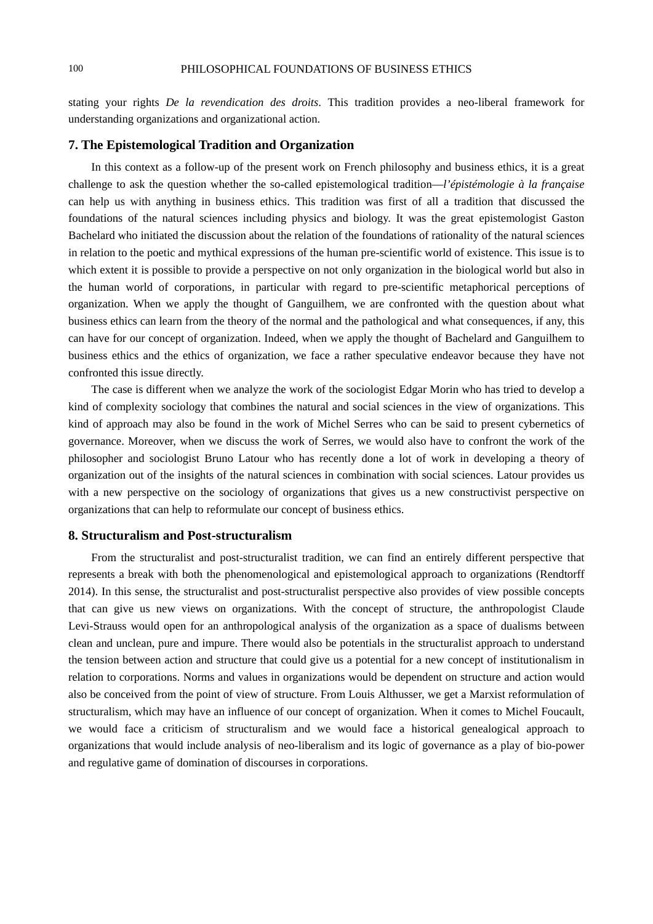stating your rights *De la revendication des droits*. This tradition provides a neo-liberal framework for understanding organizations and organizational action.

#### **7. The Epistemological Tradition and Organization**

In this context as a follow-up of the present work on French philosophy and business ethics, it is a great challenge to ask the question whether the so-called epistemological tradition—*l'épistémologie à la française* can help us with anything in business ethics. This tradition was first of all a tradition that discussed the foundations of the natural sciences including physics and biology. It was the great epistemologist Gaston Bachelard who initiated the discussion about the relation of the foundations of rationality of the natural sciences in relation to the poetic and mythical expressions of the human pre-scientific world of existence. This issue is to which extent it is possible to provide a perspective on not only organization in the biological world but also in the human world of corporations, in particular with regard to pre-scientific metaphorical perceptions of organization. When we apply the thought of Ganguilhem, we are confronted with the question about what business ethics can learn from the theory of the normal and the pathological and what consequences, if any, this can have for our concept of organization. Indeed, when we apply the thought of Bachelard and Ganguilhem to business ethics and the ethics of organization, we face a rather speculative endeavor because they have not confronted this issue directly.

The case is different when we analyze the work of the sociologist Edgar Morin who has tried to develop a kind of complexity sociology that combines the natural and social sciences in the view of organizations. This kind of approach may also be found in the work of Michel Serres who can be said to present cybernetics of governance. Moreover, when we discuss the work of Serres, we would also have to confront the work of the philosopher and sociologist Bruno Latour who has recently done a lot of work in developing a theory of organization out of the insights of the natural sciences in combination with social sciences. Latour provides us with a new perspective on the sociology of organizations that gives us a new constructivist perspective on organizations that can help to reformulate our concept of business ethics.

#### **8. Structuralism and Post-structuralism**

From the structuralist and post-structuralist tradition, we can find an entirely different perspective that represents a break with both the phenomenological and epistemological approach to organizations (Rendtorff 2014). In this sense, the structuralist and post-structuralist perspective also provides of view possible concepts that can give us new views on organizations. With the concept of structure, the anthropologist Claude Levi-Strauss would open for an anthropological analysis of the organization as a space of dualisms between clean and unclean, pure and impure. There would also be potentials in the structuralist approach to understand the tension between action and structure that could give us a potential for a new concept of institutionalism in relation to corporations. Norms and values in organizations would be dependent on structure and action would also be conceived from the point of view of structure. From Louis Althusser, we get a Marxist reformulation of structuralism, which may have an influence of our concept of organization. When it comes to Michel Foucault, we would face a criticism of structuralism and we would face a historical genealogical approach to organizations that would include analysis of neo-liberalism and its logic of governance as a play of bio-power and regulative game of domination of discourses in corporations.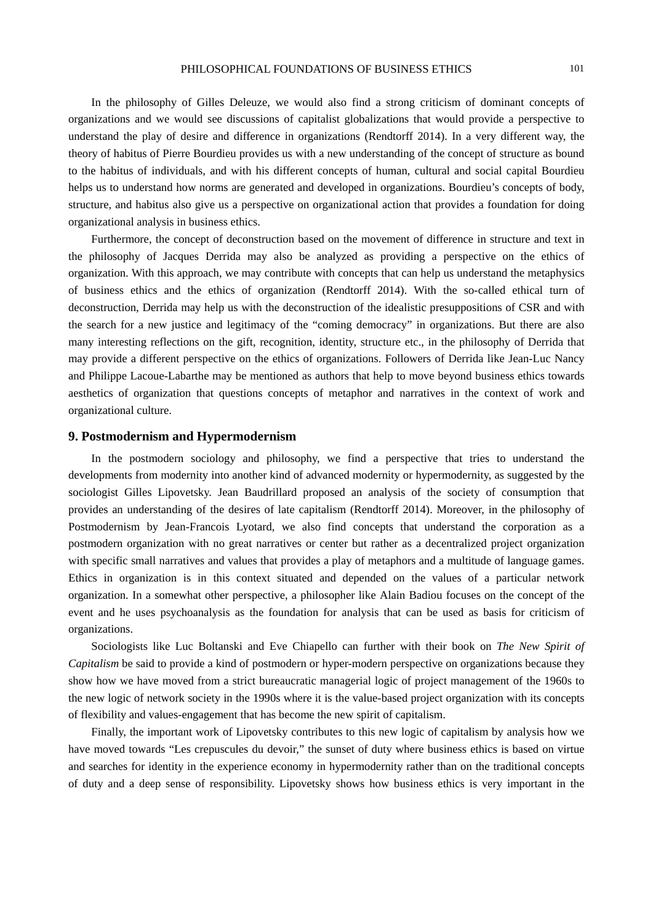In the philosophy of Gilles Deleuze, we would also find a strong criticism of dominant concepts of organizations and we would see discussions of capitalist globalizations that would provide a perspective to understand the play of desire and difference in organizations (Rendtorff 2014). In a very different way, the theory of habitus of Pierre Bourdieu provides us with a new understanding of the concept of structure as bound to the habitus of individuals, and with his different concepts of human, cultural and social capital Bourdieu helps us to understand how norms are generated and developed in organizations. Bourdieu's concepts of body, structure, and habitus also give us a perspective on organizational action that provides a foundation for doing organizational analysis in business ethics.

Furthermore, the concept of deconstruction based on the movement of difference in structure and text in the philosophy of Jacques Derrida may also be analyzed as providing a perspective on the ethics of organization. With this approach, we may contribute with concepts that can help us understand the metaphysics of business ethics and the ethics of organization (Rendtorff 2014). With the so-called ethical turn of deconstruction, Derrida may help us with the deconstruction of the idealistic presuppositions of CSR and with the search for a new justice and legitimacy of the "coming democracy" in organizations. But there are also many interesting reflections on the gift, recognition, identity, structure etc., in the philosophy of Derrida that may provide a different perspective on the ethics of organizations. Followers of Derrida like Jean-Luc Nancy and Philippe Lacoue-Labarthe may be mentioned as authors that help to move beyond business ethics towards aesthetics of organization that questions concepts of metaphor and narratives in the context of work and organizational culture.

#### **9. Postmodernism and Hypermodernism**

In the postmodern sociology and philosophy, we find a perspective that tries to understand the developments from modernity into another kind of advanced modernity or hypermodernity, as suggested by the sociologist Gilles Lipovetsky. Jean Baudrillard proposed an analysis of the society of consumption that provides an understanding of the desires of late capitalism (Rendtorff 2014). Moreover, in the philosophy of Postmodernism by Jean-Francois Lyotard, we also find concepts that understand the corporation as a postmodern organization with no great narratives or center but rather as a decentralized project organization with specific small narratives and values that provides a play of metaphors and a multitude of language games. Ethics in organization is in this context situated and depended on the values of a particular network organization. In a somewhat other perspective, a philosopher like Alain Badiou focuses on the concept of the event and he uses psychoanalysis as the foundation for analysis that can be used as basis for criticism of organizations.

Sociologists like Luc Boltanski and Eve Chiapello can further with their book on *The New Spirit of Capitalism* be said to provide a kind of postmodern or hyper-modern perspective on organizations because they show how we have moved from a strict bureaucratic managerial logic of project management of the 1960s to the new logic of network society in the 1990s where it is the value-based project organization with its concepts of flexibility and values-engagement that has become the new spirit of capitalism.

Finally, the important work of Lipovetsky contributes to this new logic of capitalism by analysis how we have moved towards "Les crepuscules du devoir," the sunset of duty where business ethics is based on virtue and searches for identity in the experience economy in hypermodernity rather than on the traditional concepts of duty and a deep sense of responsibility. Lipovetsky shows how business ethics is very important in the